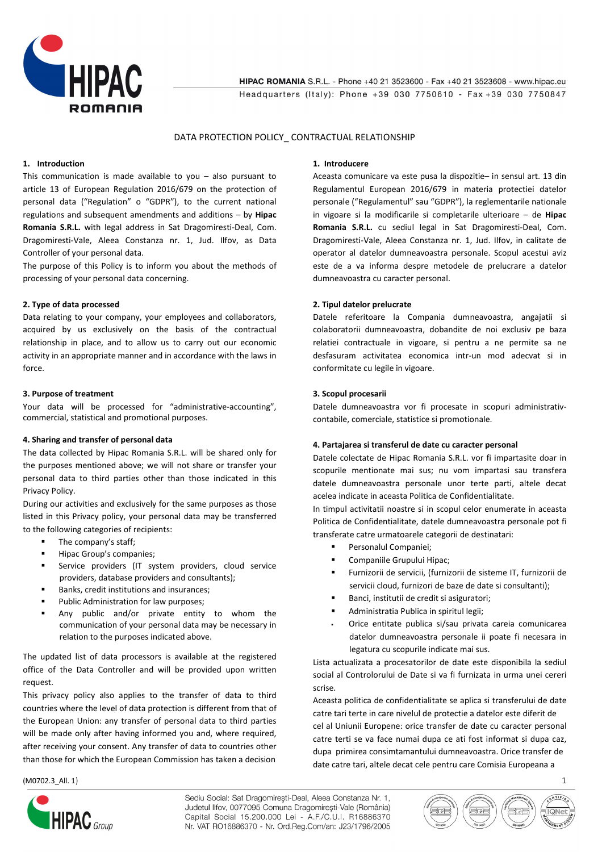

HIPAC ROMANIA S.R.L. - Phone +40 21 3523600 - Fax +40 21 3523608 - www.hipac.eu Headquarters (Italy): Phone +39 030 7750610 - Fax +39 030 7750847

# DATA PROTECTION POLICY CONTRACTUAL RELATIONSHIP

### **1. Introduction**

This communication is made available to you  $-$  also pursuant to article 13 of European Regulation 2016/679 on the protection of personal data ("Regulation" o "GDPR"), to the current national regulations and subsequent amendments and additions – by **Hipac Romania S.R.L.** with legal address in Sat Dragomiresti-Deal, Com. Dragomiresti-Vale, Aleea Constanza nr. 1, Jud. Ilfov, as Data Controller of your personal data.

The purpose of this Policy is to inform you about the methods of processing of your personal data concerning.

### **2. Type of data processed**

Data relating to your company, your employees and collaborators, acquired by us exclusively on the basis of the contractual relationship in place, and to allow us to carry out our economic activity in an appropriate manner and in accordance with the laws in force.

#### **3. Purpose of treatment**

Your data will be processed for "administrative-accounting", commercial, statistical and promotional purposes.

### **4. Sharing and transfer of personal data**

The data collected by Hipac Romania S.R.L. will be shared only for the purposes mentioned above; we will not share or transfer your personal data to third parties other than those indicated in this Privacy Policy.

During our activities and exclusively for the same purposes as those listed in this Privacy policy, your personal data may be transferred to the following categories of recipients:

- The company's staff;
- Hipac Group's companies;
- Service providers (IT system providers, cloud service providers, database providers and consultants);
- Banks, credit institutions and insurances;
- Public Administration for law purposes;
- Any public and/or private entity to whom the communication of your personal data may be necessary in relation to the purposes indicated above.

The updated list of data processors is available at the registered office of the Data Controller and will be provided upon written request.

This privacy policy also applies to the transfer of data to third countries where the level of data protection is different from that of the European Union: any transfer of personal data to third parties will be made only after having informed you and, where required, after receiving your consent. Any transfer of data to countries other than those for which the European Commission has taken a decision

### **1. Introducere**

Aceasta comunicare va este pusa la dispozitie– in sensul art. 13 din Regulamentul European 2016/679 in materia protectiei datelor personale ("Regulamentul" sau "GDPR"), la reglementarile nationale in vigoare si la modificarile si completarile ulterioare – de **Hipac Romania S.R.L.** cu sediul legal in Sat Dragomiresti-Deal, Com. Dragomiresti-Vale, Aleea Constanza nr. 1, Jud. Ilfov, in calitate de operator al datelor dumneavoastra personale. Scopul acestui aviz este de a va informa despre metodele de prelucrare a datelor dumneavoastra cu caracter personal.

## **2. Tipul datelor prelucrate**

Datele referitoare la Compania dumneavoastra, angajatii si colaboratorii dumneavoastra, dobandite de noi exclusiv pe baza relatiei contractuale in vigoare, si pentru a ne permite sa ne desfasuram activitatea economica intr-un mod adecvat si in conformitate cu legile in vigoare.

## **3. Scopul procesarii**

Datele dumneavoastra vor fi procesate in scopuri administrativcontabile, comerciale, statistice si promotionale.

#### **4. Partajarea si transferul de date cu caracter personal**

Datele colectate de Hipac Romania S.R.L. vor fi impartasite doar in scopurile mentionate mai sus; nu vom impartasi sau transfera datele dumneavoastra personale unor terte parti, altele decat acelea indicate in aceasta Politica de Confidentialitate.

In timpul activitatii noastre si in scopul celor enumerate in aceasta Politica de Confidentialitate, datele dumneavoastra personale pot fi transferate catre urmatoarele categorii de destinatari:

- **Personalul Companiei;**
- Companiile Grupului Hipac;
- Furnizorii de servicii, (furnizorii de sisteme IT, furnizorii de servicii cloud, furnizori de baze de date si consultanti);
- Banci, institutii de credit si asiguratori;
- Administratia Publica in spiritul legii;
- Orice entitate publica si/sau privata careia comunicarea datelor dumneavoastra personale ii poate fi necesara in legatura cu scopurile indicate mai sus.

Lista actualizata a procesatorilor de date este disponibila la sediul social al Controlorului de Date si va fi furnizata in urma unei cereri scrise.

Aceasta politica de confidentialitate se aplica si transferului de date catre tari terte in care nivelul de protectie a datelor este diferit de cel al Uniunii Europene: orice transfer de date cu caracter personal catre terti se va face numai dupa ce ati fost informat si dupa caz, dupa primirea consimtamantului dumneavoastra. Orice transfer de date catre tari, altele decat cele pentru care Comisia Europeana a

 $(100702.3\_All. 1)$ 



Sediu Social: Sat Dragomirești-Deal, Aleea Constanza Nr. 1, Judetul Ilfov, 0077095 Comuna Dragomirești-Vale (România) Capital Social 15.200.000 Lei - A.F./C.U.I. R16886370 Nr. VAT RO16886370 - Nr. Ord.Reg.Com/an. J23/1796/2005

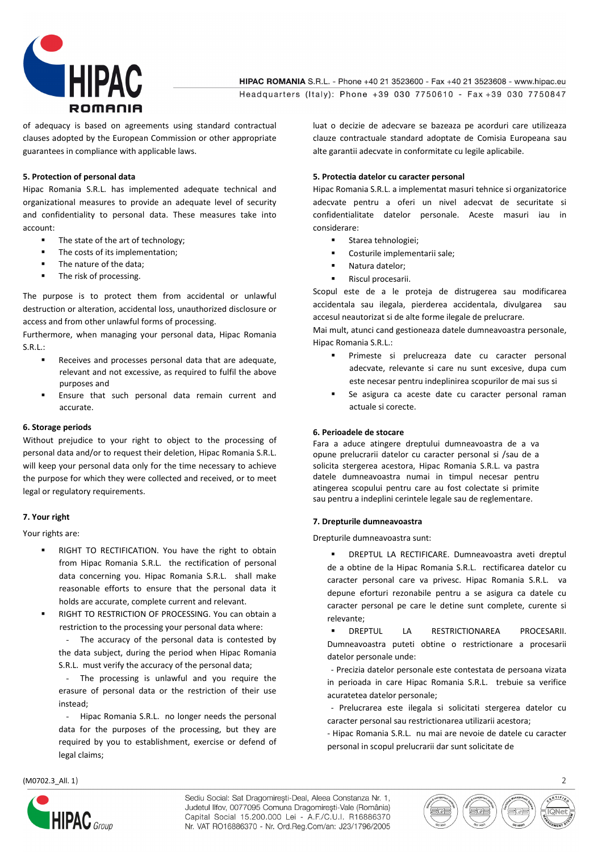

of adequacy is based on agreements using standard contractual clauses adopted by the European Commission or other appropriate guarantees in compliance with applicable laws.

# **5. Protection of personal data**

Hipac Romania S.R.L. has implemented adequate technical and organizational measures to provide an adequate level of security and confidentiality to personal data. These measures take into account:

- The state of the art of technology;
- The costs of its implementation;
- The nature of the data;
- The risk of processing.

The purpose is to protect them from accidental or unlawful destruction or alteration, accidental loss, unauthorized disclosure or access and from other unlawful forms of processing.

Furthermore, when managing your personal data, Hipac Romania S.R.L.:

- Receives and processes personal data that are adequate, relevant and not excessive, as required to fulfil the above purposes and
- Ensure that such personal data remain current and accurate.

## **6. Storage periods**

Without prejudice to your right to object to the processing of personal data and/or to request their deletion, Hipac Romania S.R.L. will keep your personal data only for the time necessary to achieve the purpose for which they were collected and received, or to meet legal or regulatory requirements.

### **7. Your right**

Your rights are:

- RIGHT TO RECTIFICATION. You have the right to obtain from Hipac Romania S.R.L. the rectification of personal data concerning you. Hipac Romania S.R.L. shall make reasonable efforts to ensure that the personal data it holds are accurate, complete current and relevant.
- RIGHT TO RESTRICTION OF PROCESSING. You can obtain a restriction to the processing your personal data where:

- The accuracy of the personal data is contested by the data subject, during the period when Hipac Romania S.R.L. must verify the accuracy of the personal data;

- The processing is unlawful and you require the erasure of personal data or the restriction of their use instead;

- Hipac Romania S.R.L. no longer needs the personal data for the purposes of the processing, but they are required by you to establishment, exercise or defend of legal claims;

luat o decizie de adecvare se bazeaza pe acorduri care utilizeaza clauze contractuale standard adoptate de Comisia Europeana sau alte garantii adecvate in conformitate cu legile aplicabile.

#### **5. Protectia datelor cu caracter personal**

Hipac Romania S.R.L. a implementat masuri tehnice si organizatorice adecvate pentru a oferi un nivel adecvat de securitate si confidentialitate datelor personale. Aceste masuri iau in considerare:

- **Starea tehnologiei;**
- Costurile implementarii sale;
- Natura datelor;
- Riscul procesarii.

Scopul este de a le proteja de distrugerea sau modificarea accidentala sau ilegala, pierderea accidentala, divulgarea sau accesul neautorizat si de alte forme ilegale de prelucrare.

Mai mult, atunci cand gestioneaza datele dumneavoastra personale, Hipac Romania S.R.L.:

- Primeste si prelucreaza date cu caracter personal adecvate, relevante si care nu sunt excesive, dupa cum este necesar pentru indeplinirea scopurilor de mai sus si
- Se asigura ca aceste date cu caracter personal raman actuale si corecte.

### **6. Perioadele de stocare**

Fara a aduce atingere dreptului dumneavoastra de a va opune prelucrarii datelor cu caracter personal si /sau de a solicita stergerea acestora, Hipac Romania S.R.L. va pastra datele dumneavoastra numai in timpul necesar pentru atingerea scopului pentru care au fost colectate si primite sau pentru a indeplini cerintele legale sau de reglementare.

#### **7. Drepturile dumneavoastra**

Drepturile dumneavoastra sunt:

 DREPTUL LA RECTIFICARE. Dumneavoastra aveti dreptul de a obtine de la Hipac Romania S.R.L. rectificarea datelor cu caracter personal care va privesc. Hipac Romania S.R.L. va depune eforturi rezonabile pentru a se asigura ca datele cu caracter personal pe care le detine sunt complete, curente si relevante;

 DREPTUL LA RESTRICTIONAREA PROCESARII. Dumneavoastra puteti obtine o restrictionare a procesarii datelor personale unde:

- Precizia datelor personale este contestata de persoana vizata in perioada in care Hipac Romania S.R.L. trebuie sa verifice acuratetea datelor personale;

- Prelucrarea este ilegala si solicitati stergerea datelor cu caracter personal sau restrictionarea utilizarii acestora;

- Hipac Romania S.R.L. nu mai are nevoie de datele cu caracter personal in scopul prelucrarii dar sunt solicitate de

(M0702.3\_All. 1) 2



Sediu Social: Sat Dragomirești-Deal, Aleea Constanza Nr. 1, Judetul Ilfov, 0077095 Comuna Dragomirești-Vale (România) Capital Social 15.200.000 Lei - A.F./C.U.I. R16886370 Nr. VAT RO16886370 - Nr. Ord.Reg.Com/an. J23/1796/2005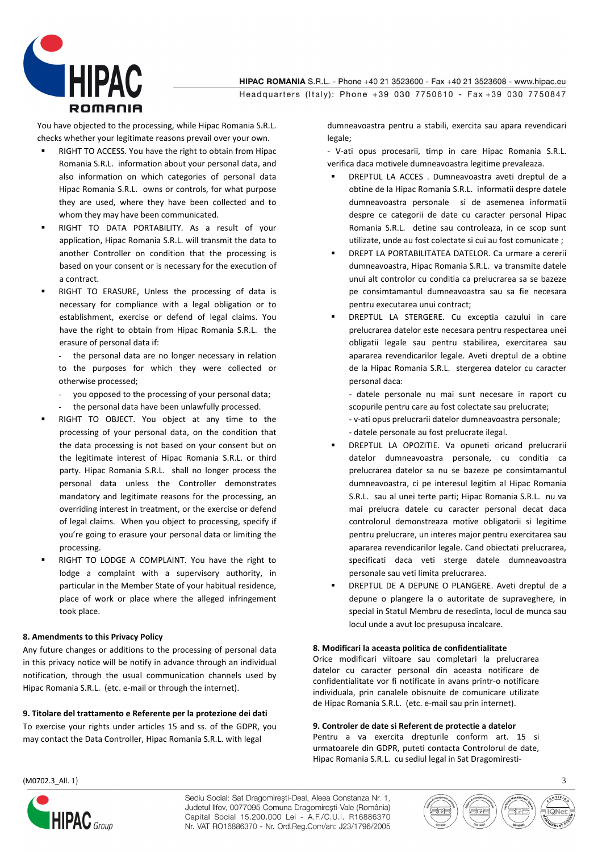

HIPAC ROMANIA S.R.L. - Phone +40 21 3523600 - Fax +40 21 3523608 - www.hipac.eu Headquarters (Italy): Phone +39 030 7750610 - Fax +39 030 7750847

You have objected to the processing, while Hipac Romania S.R.L. checks whether your legitimate reasons prevail over your own.

- RIGHT TO ACCESS. You have the right to obtain from Hipac Romania S.R.L. information about your personal data, and also information on which categories of personal data Hipac Romania S.R.L. owns or controls, for what purpose they are used, where they have been collected and to whom they may have been communicated.
- RIGHT TO DATA PORTABILITY. As a result of your application, Hipac Romania S.R.L. will transmit the data to another Controller on condition that the processing is based on your consent or is necessary for the execution of a contract.
- RIGHT TO ERASURE, Unless the processing of data is necessary for compliance with a legal obligation or to establishment, exercise or defend of legal claims. You have the right to obtain from Hipac Romania S.R.L. the erasure of personal data if:

the personal data are no longer necessary in relation to the purposes for which they were collected or otherwise processed;

- you opposed to the processing of your personal data;
- the personal data have been unlawfully processed.
- RIGHT TO OBJECT. You object at any time to the processing of your personal data, on the condition that the data processing is not based on your consent but on the legitimate interest of Hipac Romania S.R.L. or third party. Hipac Romania S.R.L. shall no longer process the personal data unless the Controller demonstrates mandatory and legitimate reasons for the processing, an overriding interest in treatment, or the exercise or defend of legal claims. When you object to processing, specify if you're going to erasure your personal data or limiting the processing.
- RIGHT TO LODGE A COMPLAINT. You have the right to lodge a complaint with a supervisory authority, in particular in the Member State of your habitual residence, place of work or place where the alleged infringement took place.

## **8. Amendments to this Privacy Policy**

Any future changes or additions to the processing of personal data in this privacy notice will be notify in advance through an individual notification, through the usual communication channels used by Hipac Romania S.R.L. (etc. e-mail or through the internet).

# **9. Titolare del trattamento e Referente per la protezione dei dati**

To exercise your rights under articles 15 and ss. of the GDPR, you may contact the Data Controller, Hipac Romania S.R.L. with legal

dumneavoastra pentru a stabili, exercita sau apara revendicari legale;

- V-ati opus procesarii, timp in care Hipac Romania S.R.L. verifica daca motivele dumneavoastra legitime prevaleaza.

- DREPTUL LA ACCES . Dumneavoastra aveti dreptul de a obtine de la Hipac Romania S.R.L. informatii despre datele dumneavoastra personale si de asemenea informatii despre ce categorii de date cu caracter personal Hipac Romania S.R.L. detine sau controleaza, in ce scop sunt utilizate, unde au fost colectate si cui au fost comunicate ;
- DREPT LA PORTABILITATEA DATELOR. Ca urmare a cererii dumneavoastra, Hipac Romania S.R.L. va transmite datele unui alt controlor cu conditia ca prelucrarea sa se bazeze pe consimtamantul dumneavoastra sau sa fie necesara pentru executarea unui contract;
- DREPTUL LA STERGERE. Cu exceptia cazului in care prelucrarea datelor este necesara pentru respectarea unei obligatii legale sau pentru stabilirea, exercitarea sau apararea revendicarilor legale. Aveti dreptul de a obtine de la Hipac Romania S.R.L. stergerea datelor cu caracter personal daca:

- datele personale nu mai sunt necesare in raport cu scopurile pentru care au fost colectate sau prelucrate;

- v-ati opus prelucrarii datelor dumneavoastra personale;

- datele personale au fost prelucrate ilegal.

- DREPTUL LA OPOZITIE. Va opuneti oricand prelucrarii datelor dumneavoastra personale, cu conditia ca prelucrarea datelor sa nu se bazeze pe consimtamantul dumneavoastra, ci pe interesul legitim al Hipac Romania S.R.L. sau al unei terte parti; Hipac Romania S.R.L. nu va mai prelucra datele cu caracter personal decat daca controlorul demonstreaza motive obligatorii si legitime pentru prelucrare, un interes major pentru exercitarea sau apararea revendicarilor legale. Cand obiectati prelucrarea, specificati daca veti sterge datele dumneavoastra personale sau veti limita prelucrarea.
- DREPTUL DE A DEPUNE O PLANGERE. Aveti dreptul de a depune o plangere la o autoritate de supraveghere, in special in Statul Membru de resedinta, locul de munca sau locul unde a avut loc presupusa incalcare.

# **8. Modificari la aceasta politica de confidentialitate**

Orice modificari viitoare sau completari la prelucrarea datelor cu caracter personal din aceasta notificare de confidentialitate vor fi notificate in avans printr-o notificare individuala, prin canalele obisnuite de comunicare utilizate de Hipac Romania S.R.L. (etc. e-mail sau prin internet).

#### **9. Controler de date si Referent de protectie a datelor**

Pentru a va exercita drepturile conform art. 15 si urmatoarele din GDPR, puteti contacta Controlorul de date, Hipac Romania S.R.L. cu sediul legal in Sat Dragomiresti-

(MO702.3\_All. 1) 3



Sediu Social: Sat Dragomirești-Deal, Aleea Constanza Nr. 1, Judetul Ilfov, 0077095 Comuna Dragomirești-Vale (România) Capital Social 15.200.000 Lei - A.F./C.U.I. R16886370 Nr. VAT RO16886370 - Nr. Ord.Reg.Com/an: J23/1796/2005